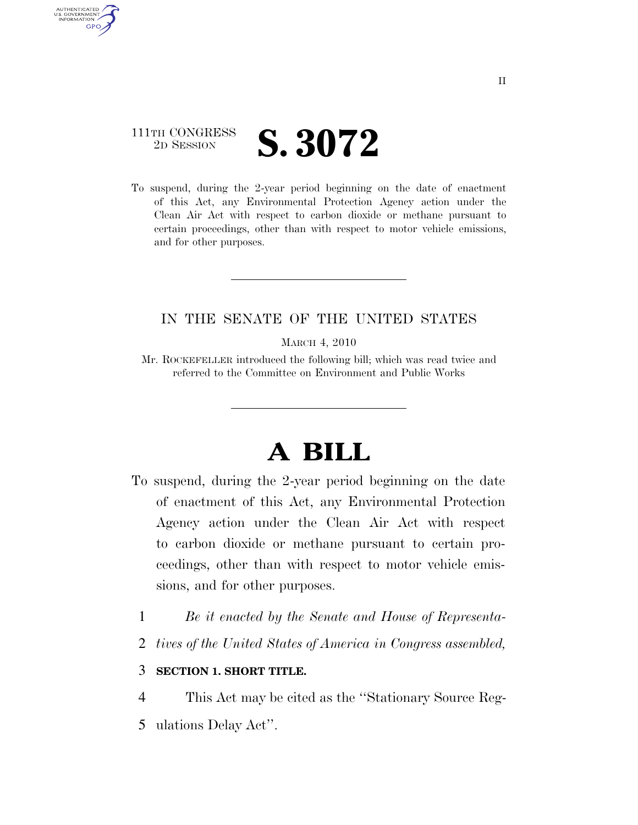## 111TH CONGRESS **2D SESSION S. 3072**

AUTHENTICATED U.S. GOVERNMENT **GPO** 

> To suspend, during the 2-year period beginning on the date of enactment of this Act, any Environmental Protection Agency action under the Clean Air Act with respect to carbon dioxide or methane pursuant to certain proceedings, other than with respect to motor vehicle emissions, and for other purposes.

### IN THE SENATE OF THE UNITED STATES

MARCH 4, 2010

Mr. ROCKEFELLER introduced the following bill; which was read twice and referred to the Committee on Environment and Public Works

# **A BILL**

- To suspend, during the 2-year period beginning on the date of enactment of this Act, any Environmental Protection Agency action under the Clean Air Act with respect to carbon dioxide or methane pursuant to certain proceedings, other than with respect to motor vehicle emissions, and for other purposes.
	- 1 *Be it enacted by the Senate and House of Representa-*
	- 2 *tives of the United States of America in Congress assembled,*

### 3 **SECTION 1. SHORT TITLE.**

- 4 This Act may be cited as the ''Stationary Source Reg-
- 5 ulations Delay Act''.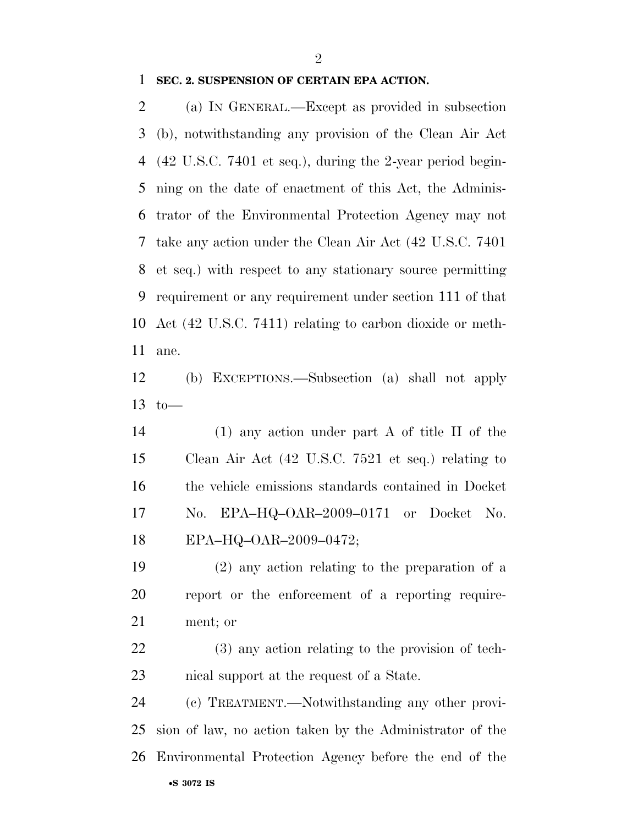#### **SEC. 2. SUSPENSION OF CERTAIN EPA ACTION.**

 (a) IN GENERAL.—Except as provided in subsection (b), notwithstanding any provision of the Clean Air Act (42 U.S.C. 7401 et seq.), during the 2-year period begin- ning on the date of enactment of this Act, the Adminis- trator of the Environmental Protection Agency may not take any action under the Clean Air Act (42 U.S.C. 7401 et seq.) with respect to any stationary source permitting requirement or any requirement under section 111 of that Act (42 U.S.C. 7411) relating to carbon dioxide or meth-ane.

 (b) EXCEPTIONS.—Subsection (a) shall not apply 13 to  $-$ 

 (1) any action under part A of title II of the Clean Air Act (42 U.S.C. 7521 et seq.) relating to the vehicle emissions standards contained in Docket No. EPA–HQ–OAR–2009–0171 or Docket No. EPA–HQ–OAR–2009–0472;

 (2) any action relating to the preparation of a report or the enforcement of a reporting require-ment; or

 (3) any action relating to the provision of tech-nical support at the request of a State.

•**S 3072 IS** (c) TREATMENT.—Notwithstanding any other provi- sion of law, no action taken by the Administrator of the Environmental Protection Agency before the end of the